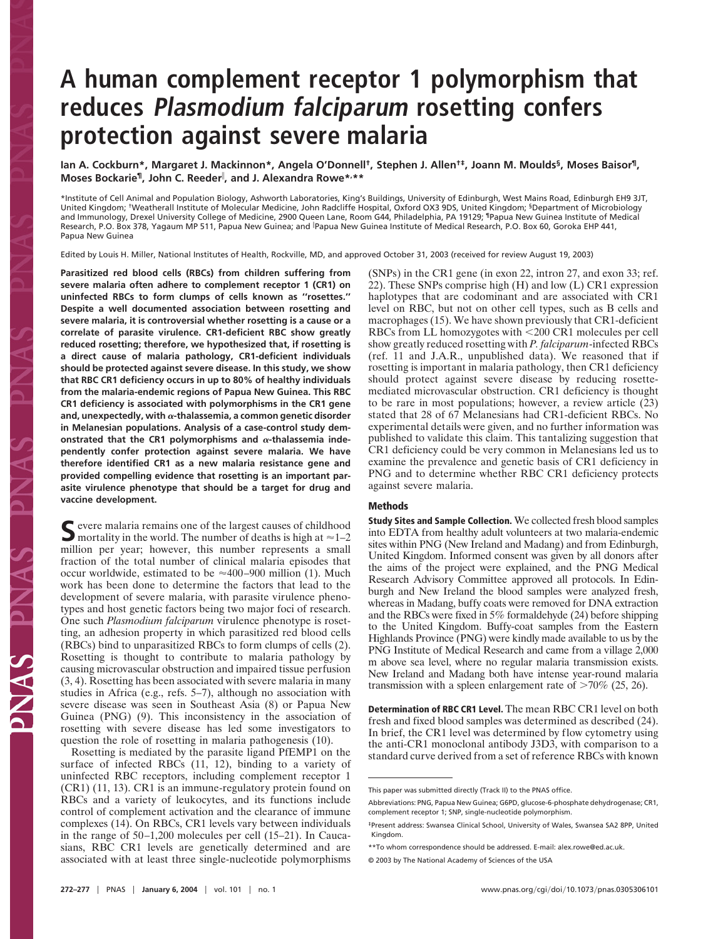## **A human complement receptor 1 polymorphism that reduces Plasmodium falciparum rosetting confers protection against severe malaria**

**Ian A. Cockburn\*, Margaret J. Mackinnon\*, Angela O'Donnell†, Stephen J. Allen†‡, Joann M. Moulds§, Moses Baisor¶,** Moses Bockarie<sup>¶</sup>, John C. Reeder<sup>||</sup>, and J. Alexandra Rowe\*<sup>,\*\*</sup>

\*Institute of Cell Animal and Population Biology, Ashworth Laboratories, King's Buildings, University of Edinburgh, West Mains Road, Edinburgh EH9 3JT, United Kingdom; †Weatherall Institute of Molecular Medicine, John Radcliffe Hospital, Oxford OX3 9DS, United Kingdom; §Department of Microbiology and Immunology, Drexel University College of Medicine, 2900 Queen Lane, Room G44, Philadelphia, PA 19129; ¶Papua New Guinea Institute of Medical Research, P.O. Box 378, Yagaum MP 511, Papua New Guinea; and <sup>|</sup>Papua New Guinea Institute of Medical Research, P.O. Box 60, Goroka EHP 441, Papua New Guinea

Edited by Louis H. Miller, National Institutes of Health, Rockville, MD, and approved October 31, 2003 (received for review August 19, 2003)

**Parasitized red blood cells (RBCs) from children suffering from severe malaria often adhere to complement receptor 1 (CR1) on uninfected RBCs to form clumps of cells known as ''rosettes.'' Despite a well documented association between rosetting and severe malaria, it is controversial whether rosetting is a cause or a correlate of parasite virulence. CR1-deficient RBC show greatly reduced rosetting; therefore, we hypothesized that, if rosetting is a direct cause of malaria pathology, CR1-deficient individuals should be protected against severe disease. In this study, we show that RBC CR1 deficiency occurs in up to 80% of healthy individuals from the malaria-endemic regions of Papua New Guinea. This RBC CR1 deficiency is associated with polymorphisms in the CR1 gene** and, unexpectedly, with  $\alpha$ -thalassemia, a common genetic disorder **in Melanesian populations. Analysis of a case-control study dem**onstrated that the CR1 polymorphisms and  $\alpha$ -thalassemia inde**pendently confer protection against severe malaria. We have therefore identified CR1 as a new malaria resistance gene and provided compelling evidence that rosetting is an important parasite virulence phenotype that should be a target for drug and vaccine development.**

Severe malaria remains one of the largest causes of childhood<br>mortality in the world. The number of deaths is high at  $\approx$ 1–2 million per year; however, this number represents a small fraction of the total number of clinical malaria episodes that occur worldwide, estimated to be  $\approx 400-900$  million (1). Much work has been done to determine the factors that lead to the development of severe malaria, with parasite virulence phenotypes and host genetic factors being two major foci of research. One such *Plasmodium falciparum* virulence phenotype is rosetting, an adhesion property in which parasitized red blood cells (RBCs) bind to unparasitized RBCs to form clumps of cells (2). Rosetting is thought to contribute to malaria pathology by causing microvascular obstruction and impaired tissue perfusion (3, 4). Rosetting has been associated with severe malaria in many studies in Africa (e.g., refs. 5–7), although no association with severe disease was seen in Southeast Asia (8) or Papua New Guinea (PNG) (9). This inconsistency in the association of rosetting with severe disease has led some investigators to question the role of rosetting in malaria pathogenesis (10).

Rosetting is mediated by the parasite ligand PfEMP1 on the surface of infected RBCs (11, 12), binding to a variety of uninfected RBC receptors, including complement receptor 1 (CR1) (11, 13). CR1 is an immune-regulatory protein found on RBCs and a variety of leukocytes, and its functions include control of complement activation and the clearance of immune complexes (14). On RBCs, CR1 levels vary between individuals in the range of 50–1,200 molecules per cell (15–21). In Caucasians, RBC CR1 levels are genetically determined and are associated with at least three single-nucleotide polymorphisms (SNPs) in the CR1 gene (in exon 22, intron 27, and exon 33; ref. 22). These SNPs comprise high (H) and low (L) CR1 expression haplotypes that are codominant and are associated with CR1 level on RBC, but not on other cell types, such as B cells and macrophages (15). We have shown previously that CR1-deficient RBCs from LL homozygotes with <200 CR1 molecules per cell show greatly reduced rosetting with *P. falciparum*-infected RBCs (ref. 11 and J.A.R., unpublished data). We reasoned that if rosetting is important in malaria pathology, then CR1 deficiency should protect against severe disease by reducing rosettemediated microvascular obstruction. CR1 deficiency is thought to be rare in most populations; however, a review article (23) stated that 28 of 67 Melanesians had CR1-deficient RBCs. No experimental details were given, and no further information was published to validate this claim. This tantalizing suggestion that CR1 deficiency could be very common in Melanesians led us to examine the prevalence and genetic basis of CR1 deficiency in PNG and to determine whether RBC CR1 deficiency protects against severe malaria.

## **Methods**

**Study Sites and Sample Collection.** We collected fresh blood samples into EDTA from healthy adult volunteers at two malaria-endemic sites within PNG (New Ireland and Madang) and from Edinburgh, United Kingdom. Informed consent was given by all donors after the aims of the project were explained, and the PNG Medical Research Advisory Committee approved all protocols. In Edinburgh and New Ireland the blood samples were analyzed fresh, whereas in Madang, buffy coats were removed for DNA extraction and the RBCs were fixed in 5% formaldehyde (24) before shipping to the United Kingdom. Buffy-coat samples from the Eastern Highlands Province (PNG) were kindly made available to us by the PNG Institute of Medical Research and came from a village 2,000 m above sea level, where no regular malaria transmission exists. New Ireland and Madang both have intense year-round malaria transmission with a spleen enlargement rate of  $>70\%$  (25, 26).

**Determination of RBC CR1 Level.** The mean RBC CR1 level on both fresh and fixed blood samples was determined as described (24). In brief, the CR1 level was determined by flow cytometry using the anti-CR1 monoclonal antibody J3D3, with comparison to a standard curve derived from a set of reference RBCs with known

This paper was submitted directly (Track II) to the PNAS office.

Abbreviations: PNG, Papua New Guinea; G6PD, glucose-6-phosphate dehydrogenase; CR1, complement receptor 1; SNP, single-nucleotide polymorphism.

<sup>‡</sup>Present address: Swansea Clinical School, University of Wales, Swansea SA2 8PP, United Kingdom.

<sup>\*\*</sup>To whom correspondence should be addressed. E-mail: alex.rowe@ed.ac.uk.

<sup>© 2003</sup> by The National Academy of Sciences of the USA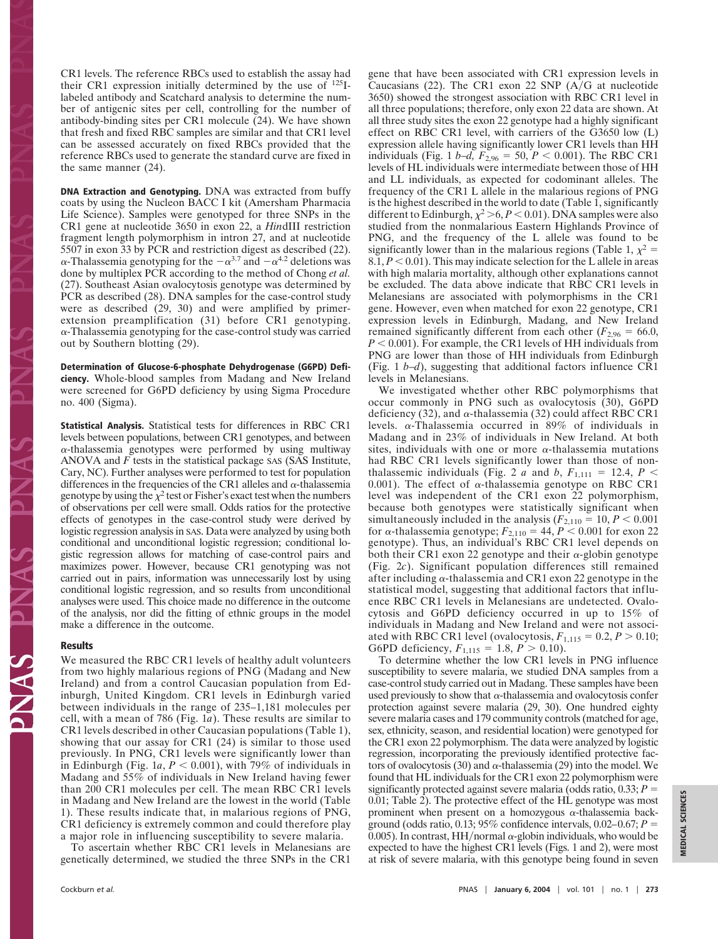CR1 levels. The reference RBCs used to establish the assay had their CR1 expression initially determined by the use of 125Ilabeled antibody and Scatchard analysis to determine the number of antigenic sites per cell, controlling for the number of antibody-binding sites per CR1 molecule (24). We have shown that fresh and fixed RBC samples are similar and that CR1 level can be assessed accurately on fixed RBCs provided that the reference RBCs used to generate the standard curve are fixed in the same manner (24).

**DNA Extraction and Genotyping.** DNA was extracted from buffy coats by using the Nucleon BACC I kit (Amersham Pharmacia Life Science). Samples were genotyped for three SNPs in the CR1 gene at nucleotide 3650 in exon 22, a *Hin*dIII restriction fragment length polymorphism in intron 27, and at nucleotide 5507 in exon 33 by PCR and restriction digest as described (22).  $\alpha$ -Thalassemia genotyping for the  $-\alpha^{3.7}$  and  $-\alpha^{4.2}$  deletions was done by multiplex PCR according to the method of Chong *et al.* (27). Southeast Asian ovalocytosis genotype was determined by PCR as described (28). DNA samples for the case-control study were as described (29, 30) and were amplified by primerextension preamplification (31) before CR1 genotyping.  $\alpha$ -Thalassemia genotyping for the case-control study was carried out by Southern blotting (29).

**Determination of Glucose-6-phosphate Dehydrogenase (G6PD) Deficiency.** Whole-blood samples from Madang and New Ireland were screened for G6PD deficiency by using Sigma Procedure no. 400 (Sigma).

**Statistical Analysis.** Statistical tests for differences in RBC CR1 levels between populations, between CR1 genotypes, and between  $\alpha$ -thalassemia genotypes were performed by using multiway ANOVA and *F* tests in the statistical package SAS (SAS Institute, Cary, NC). Further analyses were performed to test for population differences in the frequencies of the CR1 alleles and  $\alpha$ -thalassemia genotype by using the  $\chi^2$  test or Fisher's exact test when the numbers of observations per cell were small. Odds ratios for the protective effects of genotypes in the case-control study were derived by logistic regression analysis in SAS. Data were analyzed by using both conditional and unconditional logistic regression; conditional logistic regression allows for matching of case-control pairs and maximizes power. However, because CR1 genotyping was not carried out in pairs, information was unnecessarily lost by using conditional logistic regression, and so results from unconditional analyses were used. This choice made no difference in the outcome of the analysis, nor did the fitting of ethnic groups in the model make a difference in the outcome.

## **Results**

We measured the RBC CR1 levels of healthy adult volunteers from two highly malarious regions of PNG (Madang and New Ireland) and from a control Caucasian population from Edinburgh, United Kingdom. CR1 levels in Edinburgh varied between individuals in the range of 235–1,181 molecules per cell, with a mean of 786 (Fig. 1*a*). These results are similar to CR1 levels described in other Caucasian populations (Table 1), showing that our assay for CR1 (24) is similar to those used previously. In PNG, CR1 levels were significantly lower than in Edinburgh (Fig.  $1a, P < 0.001$ ), with 79% of individuals in Madang and 55% of individuals in New Ireland having fewer than 200 CR1 molecules per cell. The mean RBC CR1 levels in Madang and New Ireland are the lowest in the world (Table 1). These results indicate that, in malarious regions of PNG, CR1 deficiency is extremely common and could therefore play a major role in influencing susceptibility to severe malaria.

To ascertain whether RBC CR1 levels in Melanesians are genetically determined, we studied the three SNPs in the CR1

gene that have been associated with CR1 expression levels in Caucasians (22). The CR1 exon 22 SNP  $(A/G$  at nucleotide 3650) showed the strongest association with RBC CR1 level in all three populations; therefore, only exon 22 data are shown. At all three study sites the exon 22 genotype had a highly significant effect on RBC CR1 level, with carriers of the G3650 low (L) expression allele having significantly lower CR1 levels than HH individuals (Fig. 1 *b–d, F*<sub>2,96</sub> = 50, *P* < 0.001). The RBC CR1 levels of HL individuals were intermediate between those of HH and LL individuals, as expected for codominant alleles. The frequency of the CR1 L allele in the malarious regions of PNG is the highest described in the world to date (Table 1, significantly different to Edinburgh,  $\chi^2 > 6$ ,  $P < 0.01$ ). DNA samples were also studied from the nonmalarious Eastern Highlands Province of PNG, and the frequency of the L allele was found to be significantly lower than in the malarious regions (Table 1,  $\chi^2$  =  $8.1, P < 0.01$ ). This may indicate selection for the L allele in areas with high malaria mortality, although other explanations cannot be excluded. The data above indicate that RBC CR1 levels in Melanesians are associated with polymorphisms in the CR1 gene. However, even when matched for exon 22 genotype, CR1 expression levels in Edinburgh, Madang, and New Ireland remained significantly different from each other  $(F_{2,96} = 66.0,$  $P < 0.001$ ). For example, the CR1 levels of HH individuals from PNG are lower than those of HH individuals from Edinburgh (Fig. 1 *b*–*d*), suggesting that additional factors influence CR1 levels in Melanesians.

We investigated whether other RBC polymorphisms that occur commonly in PNG such as ovalocytosis (30), G6PD deficiency (32), and  $\alpha$ -thalassemia (32) could affect RBC CR1 levels.  $\alpha$ -Thalassemia occurred in 89% of individuals in Madang and in 23% of individuals in New Ireland. At both sites, individuals with one or more  $\alpha$ -thalassemia mutations had RBC CR1 levels significantly lower than those of nonthalassemic individuals (Fig. 2 *a* and *b*,  $F_{1,111} = 12.4$ ,  $P \le$ 0.001). The effect of  $\alpha$ -thalassemia genotype on RBC CR1 level was independent of the CR1 exon 22 polymorphism, because both genotypes were statistically significant when simultaneously included in the analysis  $(F_{2,110} = 10, P \le 0.001$ for  $\alpha$ -thalassemia genotype;  $F_{2,110} = 44, P < 0.001$  for exon 22 genotype). Thus, an individual's RBC CR1 level depends on both their CR1 exon 22 genotype and their  $\alpha$ -globin genotype (Fig. 2*c*). Significant population differences still remained after including  $\alpha$ -thalassemia and CR1 exon 22 genotype in the statistical model, suggesting that additional factors that influence RBC CR1 levels in Melanesians are undetected. Ovalocytosis and G6PD deficiency occurred in up to 15% of individuals in Madang and New Ireland and were not associated with RBC CR1 level (ovalocytosis,  $F_{1,115} = 0.2, P > 0.10;$ G6PD deficiency,  $F_{1,115} = 1.8, P > 0.10$ .

To determine whether the low CR1 levels in PNG influence susceptibility to severe malaria, we studied DNA samples from a case-control study carried out in Madang. These samples have been used previously to show that  $\alpha$ -thalassemia and ovalocytosis confer protection against severe malaria (29, 30). One hundred eighty severe malaria cases and 179 community controls (matched for age, sex, ethnicity, season, and residential location) were genotyped for the CR1 exon 22 polymorphism. The data were analyzed by logistic regression, incorporating the previously identified protective factors of ovalocytosis (30) and  $\alpha$ -thalassemia (29) into the model. We found that HL individuals for the CR1 exon 22 polymorphism were significantly protected against severe malaria (odds ratio,  $0.33$ ;  $P =$ 0.01; Table 2). The protective effect of the HL genotype was most prominent when present on a homozygous  $\alpha$ -thalassemia background (odds ratio, 0.13; 95% confidence intervals, 0.02–0.67;  $P =$ 0.005). In contrast, HH/normal  $\alpha$ -globin individuals, who would be expected to have the highest CR1 levels (Figs. 1 and 2), were most at risk of severe malaria, with this genotype being found in seven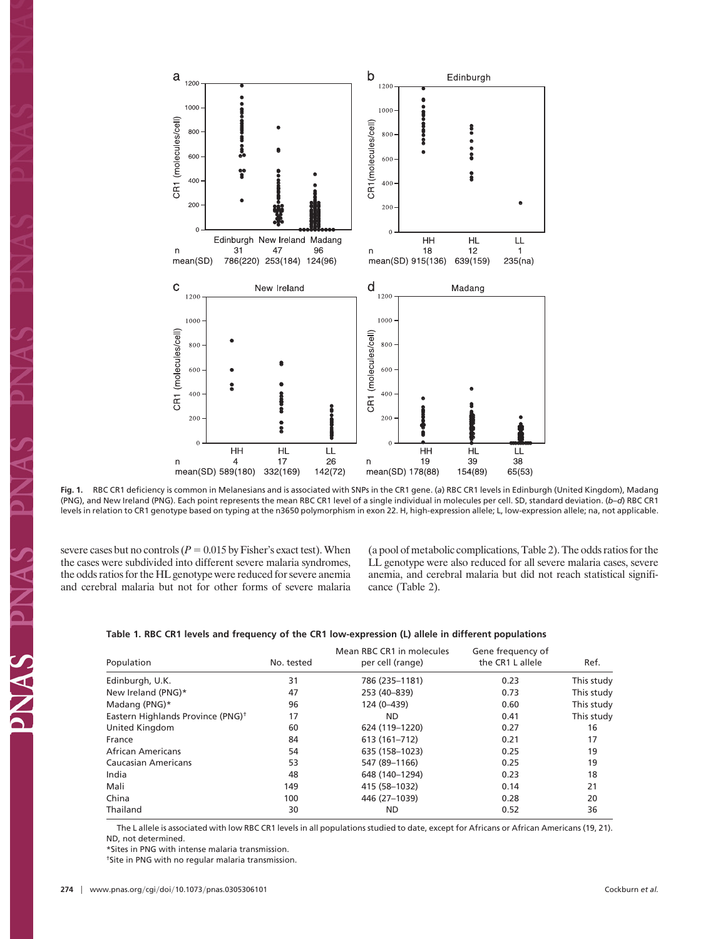

**Fig. 1.** RBC CR1 deficiency is common in Melanesians and is associated with SNPs in the CR1 gene. (*a*) RBC CR1 levels in Edinburgh (United Kingdom), Madang (PNG), and New Ireland (PNG). Each point represents the mean RBC CR1 level of a single individual in molecules per cell. SD, standard deviation. (*b*–*d*) RBC CR1 levels in relation to CR1 genotype based on typing at the n3650 polymorphism in exon 22. H, high-expression allele; L, low-expression allele; na, not applicable.

severe cases but no controls ( $P = 0.015$  by Fisher's exact test). When the cases were subdivided into different severe malaria syndromes, the odds ratios for the HL genotype were reduced for severe anemia and cerebral malaria but not for other forms of severe malaria (a pool of metabolic complications, Table 2). The odds ratios for the LL genotype were also reduced for all severe malaria cases, severe anemia, and cerebral malaria but did not reach statistical significance (Table 2).

| Table 1. RBC CR1 levels and frequency of the CR1 low-expression (L) allele in different populations |  |  |
|-----------------------------------------------------------------------------------------------------|--|--|
|-----------------------------------------------------------------------------------------------------|--|--|

|                                               |            | Mean RBC CR1 in molecules | Gene frequency of |            |
|-----------------------------------------------|------------|---------------------------|-------------------|------------|
| Population                                    | No. tested | per cell (range)          | the CR1 L allele  | Ref.       |
| Edinburgh, U.K.                               | 31         | 786 (235-1181)            | 0.23              | This study |
| New Ireland (PNG)*                            | 47         | 253 (40-839)              | 0.73              | This study |
| Madang (PNG)*                                 | 96         | 124 (0-439)               | 0.60              | This study |
| Eastern Highlands Province (PNG) <sup>+</sup> | 17         | ND.                       | 0.41              | This study |
| United Kingdom                                | 60         | 624 (119-1220)            | 0.27              | 16         |
| France                                        | 84         | 613 (161-712)             | 0.21              | 17         |
| African Americans                             | 54         | 635 (158-1023)            | 0.25              | 19         |
| <b>Caucasian Americans</b>                    | 53         | 547 (89-1166)             | 0.25              | 19         |
| India                                         | 48         | 648 (140-1294)            | 0.23              | 18         |
| Mali                                          | 149        | 415 (58-1032)             | 0.14              | 21         |
| China                                         | 100        | 446 (27-1039)             | 0.28              | 20         |
| Thailand                                      | 30         | ND                        | 0.52              | 36         |

The L allele is associated with low RBC CR1 levels in all populations studied to date, except for Africans or African Americans (19, 21). ND, not determined.

\*Sites in PNG with intense malaria transmission.

†Site in PNG with no regular malaria transmission.

TA C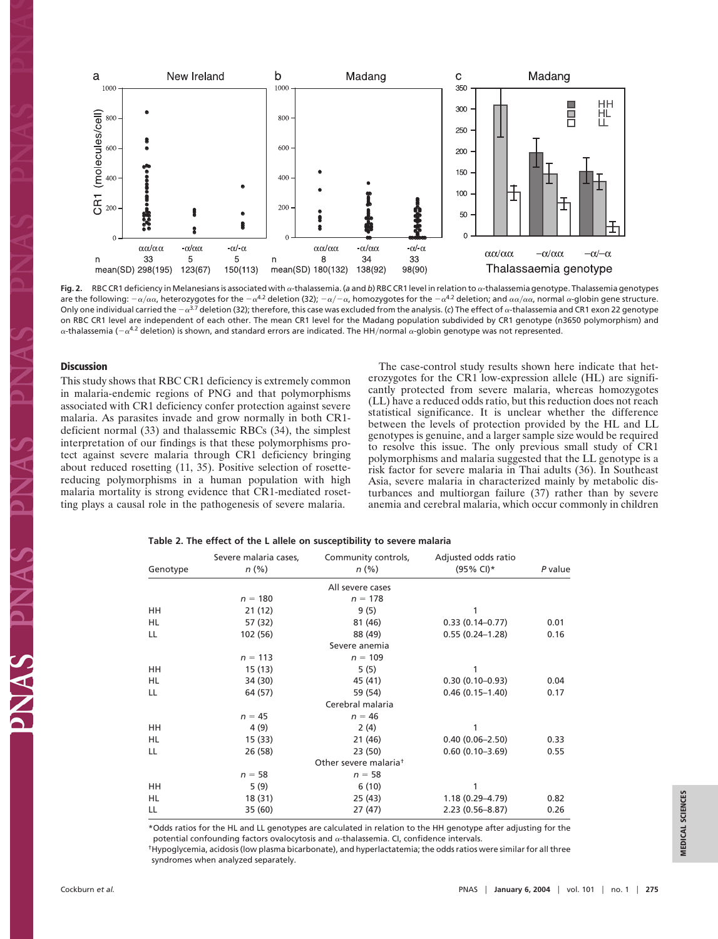

Fig. 2. RBC CR1 deficiency in Melanesians is associated with  $\alpha$ -thalassemia. (*a* and *b*) RBC CR1 level in relation to  $\alpha$ -thalassemia genotype. Thalassemia genotypes are the following:  $-\alpha/\alpha\alpha$ , heterozygotes for the  $-\alpha^{4.2}$  deletion (32);  $-\alpha/\alpha$ , homozygotes for the  $-\alpha^{4.2}$  deletion; and  $\alpha\alpha/\alpha\alpha$ , normal  $\alpha$ -globin gene structure. Only one individual carried the  $-\alpha^{3.7}$  deletion (32); therefore, this case was excluded from the analysis. (*c*) The effect of  $\alpha$ -thalassemia and CR1 exon 22 genotype on RBC CR1 level are independent of each other. The mean CR1 level for the Madang population subdivided by CR1 genotype (n3650 polymorphism) and  $\alpha$ -thalassemia ( $-\alpha^{4.2}$  deletion) is shown, and standard errors are indicated. The HH/normal  $\alpha$ -globin genotype was not represented.

## **Discussion**

This study shows that RBC CR1 deficiency is extremely common in malaria-endemic regions of PNG and that polymorphisms associated with CR1 deficiency confer protection against severe malaria. As parasites invade and grow normally in both CR1 deficient normal (33) and thalassemic RBCs (34), the simplest interpretation of our findings is that these polymorphisms protect against severe malaria through CR1 deficiency bringing about reduced rosetting (11, 35). Positive selection of rosettereducing polymorphisms in a human population with high malaria mortality is strong evidence that CR1-mediated rosetting plays a causal role in the pathogenesis of severe malaria.

The case-control study results shown here indicate that heterozygotes for the CR1 low-expression allele (HL) are significantly protected from severe malaria, whereas homozygotes (LL) have a reduced odds ratio, but this reduction does not reach statistical significance. It is unclear whether the difference between the levels of protection provided by the HL and LL genotypes is genuine, and a larger sample size would be required to resolve this issue. The only previous small study of CR1 polymorphisms and malaria suggested that the LL genotype is a risk factor for severe malaria in Thai adults (36). In Southeast Asia, severe malaria in characterized mainly by metabolic disturbances and multiorgan failure (37) rather than by severe anemia and cerebral malaria, which occur commonly in children

| Table 2. The effect of the L allele on susceptibility to severe malaria |  |
|-------------------------------------------------------------------------|--|
|-------------------------------------------------------------------------|--|

|          | Severe malaria cases, | Community controls,               | Adjusted odds ratio |         |
|----------|-----------------------|-----------------------------------|---------------------|---------|
| Genotype | $n (\%)$              | $n (\%)$                          | (95% CI)*           | P value |
|          |                       | All severe cases                  |                     |         |
|          | $n = 180$             | $n = 178$                         |                     |         |
| HH       | 21 (12)               | 9(5)                              | 1                   |         |
| HL.      | 57 (32)               | 81 (46)                           | $0.33(0.14 - 0.77)$ | 0.01    |
| LL       | 102 (56)              | 88 (49)                           | $0.55(0.24 - 1.28)$ | 0.16    |
|          |                       | Severe anemia                     |                     |         |
|          | $n = 113$             | $n = 109$                         |                     |         |
| HH       | 15 (13)               | 5(5)                              | 1                   |         |
| HL.      | 34 (30)               | 45 (41)                           | $0.30(0.10 - 0.93)$ | 0.04    |
| LL.      | 64 (57)               | 59 (54)                           | $0.46(0.15 - 1.40)$ | 0.17    |
|          |                       | Cerebral malaria                  |                     |         |
|          | $n = 45$              | $n = 46$                          |                     |         |
| HH       | 4(9)                  | 2(4)                              | 1                   |         |
| HL.      | 15 (33)               | 21 (46)                           | $0.40(0.06 - 2.50)$ | 0.33    |
| LL       | 26 (58)               | 23 (50)                           | $0.60(0.10-3.69)$   | 0.55    |
|          |                       | Other severe malaria <sup>†</sup> |                     |         |
|          | $n = 58$              | $n = 58$                          |                     |         |
| HH.      | 5(9)                  | 6(10)                             | 1                   |         |
| HL.      | 18 (31)               | 25 (43)                           | $1.18(0.29 - 4.79)$ | 0.82    |
| LL       | 35 (60)               | 27 (47)                           | $2.23(0.56 - 8.87)$ | 0.26    |

\*Odds ratios for the HL and LL genotypes are calculated in relation to the HH genotype after adjusting for the potential confounding factors ovalocytosis and  $\alpha$ -thalassemia. CI, confidence intervals.

†Hypoglycemia, acidosis (low plasma bicarbonate), and hyperlactatemia; the odds ratios were similar for all three syndromes when analyzed separately.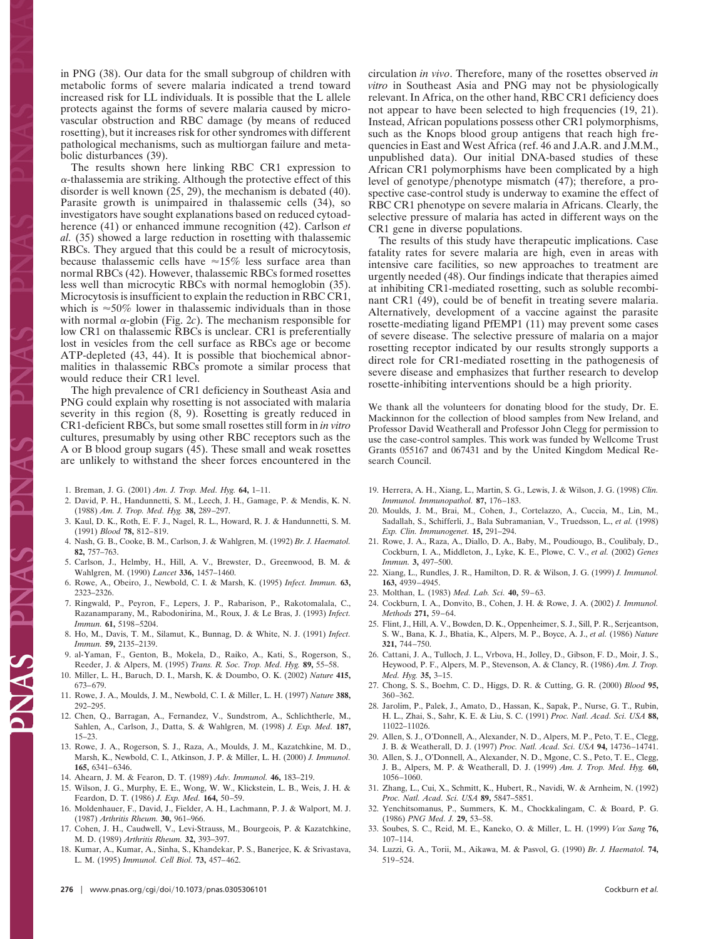in PNG (38). Our data for the small subgroup of children with metabolic forms of severe malaria indicated a trend toward increased risk for LL individuals. It is possible that the L allele protects against the forms of severe malaria caused by microvascular obstruction and RBC damage (by means of reduced rosetting), but it increases risk for other syndromes with different pathological mechanisms, such as multiorgan failure and metabolic disturbances (39).

The results shown here linking RBC CR1 expression to  $\alpha$ -thalassemia are striking. Although the protective effect of this disorder is well known (25, 29), the mechanism is debated (40). Parasite growth is unimpaired in thalassemic cells (34), so investigators have sought explanations based on reduced cytoadherence (41) or enhanced immune recognition (42). Carlson *et al.* (35) showed a large reduction in rosetting with thalassemic RBCs. They argued that this could be a result of microcytosis, because thalassemic cells have  $\approx 15\%$  less surface area than normal RBCs (42). However, thalassemic RBCs formed rosettes less well than microcytic RBCs with normal hemoglobin (35). Microcytosis is insufficient to explain the reduction in RBC CR1, which is  $\approx$  50% lower in thalassemic individuals than in those with normal  $\alpha$ -globin (Fig. 2*c*). The mechanism responsible for low CR1 on thalassemic RBCs is unclear. CR1 is preferentially lost in vesicles from the cell surface as RBCs age or become ATP-depleted (43, 44). It is possible that biochemical abnormalities in thalassemic RBCs promote a similar process that would reduce their CR1 level.

The high prevalence of CR1 deficiency in Southeast Asia and PNG could explain why rosetting is not associated with malaria severity in this region (8, 9). Rosetting is greatly reduced in CR1-deficient RBCs, but some small rosettes still form in *in vitro* cultures, presumably by using other RBC receptors such as the A or B blood group sugars (45). These small and weak rosettes are unlikely to withstand the sheer forces encountered in the

- 1. Breman, J. G. (2001) *Am. J. Trop. Med. Hyg.* **64,** 1–11.
- 2. David, P. H., Handunnetti, S. M., Leech, J. H., Gamage, P. & Mendis, K. N. (1988) *Am. J. Trop. Med. Hyg.* **38,** 289–297.
- 3. Kaul, D. K., Roth, E. F. J., Nagel, R. L., Howard, R. J. & Handunnetti, S. M. (1991) *Blood* **78,** 812–819.
- 4. Nash, G. B., Cooke, B. M., Carlson, J. & Wahlgren, M. (1992) *Br. J. Haematol.* **82,** 757–763.
- 5. Carlson, J., Helmby, H., Hill, A. V., Brewster, D., Greenwood, B. M. & Wahlgren, M. (1990) *Lancet* **336,** 1457–1460.
- 6. Rowe, A., Obeiro, J., Newbold, C. I. & Marsh, K. (1995) *Infect. Immun.* **63,** 2323–2326.
- 7. Ringwald, P., Peyron, F., Lepers, J. P., Rabarison, P., Rakotomalala, C., Razanamparany, M., Rabodonirina, M., Roux, J. & Le Bras, J. (1993) *Infect. Immun.* **61,** 5198–5204.
- 8. Ho, M., Davis, T. M., Silamut, K., Bunnag, D. & White, N. J. (1991) *Infect. Immun.* **59,** 2135–2139.
- 9. al-Yaman, F., Genton, B., Mokela, D., Raiko, A., Kati, S., Rogerson, S., Reeder, J. & Alpers, M. (1995) *Trans. R. Soc. Trop. Med. Hyg.* **89,** 55–58.
- 10. Miller, L. H., Baruch, D. I., Marsh, K. & Doumbo, O. K. (2002) *Nature* **415,** 673–679.
- 11. Rowe, J. A., Moulds, J. M., Newbold, C. I. & Miller, L. H. (1997) *Nature* **388,** 292–295.
- 12. Chen, Q., Barragan, A., Fernandez, V., Sundstrom, A., Schlichtherle, M., Sahlen, A., Carlson, J., Datta, S. & Wahlgren, M. (1998) *J. Exp. Med.* **187,** 15–23.
- 13. Rowe, J. A., Rogerson, S. J., Raza, A., Moulds, J. M., Kazatchkine, M. D., Marsh, K., Newbold, C. I., Atkinson, J. P. & Miller, L. H. (2000) *J. Immunol.* **165,** 6341–6346.
- 14. Ahearn, J. M. & Fearon, D. T. (1989) *Adv. Immunol.* **46,** 183–219.
- 15. Wilson, J. G., Murphy, E. E., Wong, W. W., Klickstein, L. B., Weis, J. H. & Feardon, D. T. (1986) *J. Exp. Med.* **164,** 50–59.
- 16. Moldenhauer, F., David, J., Fielder, A. H., Lachmann, P. J. & Walport, M. J. (1987) *Arthritis Rheum.* **30,** 961–966.
- 17. Cohen, J. H., Caudwell, V., Levi-Strauss, M., Bourgeois, P. & Kazatchkine, M. D. (1989) *Arthritis Rheum.* **32,** 393–397.
- 18. Kumar, A., Kumar, A., Sinha, S., Khandekar, P. S., Banerjee, K. & Srivastava, L. M. (1995) *Immunol. Cell Biol.* **73,** 457–462.

circulation *in vivo*. Therefore, many of the rosettes observed *in vitro* in Southeast Asia and PNG may not be physiologically relevant. In Africa, on the other hand, RBC CR1 deficiency does not appear to have been selected to high frequencies (19, 21). Instead, African populations possess other CR1 polymorphisms, such as the Knops blood group antigens that reach high frequencies in East and West Africa (ref. 46 and J.A.R. and J.M.M., unpublished data). Our initial DNA-based studies of these African CR1 polymorphisms have been complicated by a high level of genotype/phenotype mismatch  $(47)$ ; therefore, a prospective case-control study is underway to examine the effect of RBC CR1 phenotype on severe malaria in Africans. Clearly, the selective pressure of malaria has acted in different ways on the CR1 gene in diverse populations.

The results of this study have therapeutic implications. Case fatality rates for severe malaria are high, even in areas with intensive care facilities, so new approaches to treatment are urgently needed (48). Our findings indicate that therapies aimed at inhibiting CR1-mediated rosetting, such as soluble recombinant CR1 (49), could be of benefit in treating severe malaria. Alternatively, development of a vaccine against the parasite rosette-mediating ligand PfEMP1 (11) may prevent some cases of severe disease. The selective pressure of malaria on a major rosetting receptor indicated by our results strongly supports a direct role for CR1-mediated rosetting in the pathogenesis of severe disease and emphasizes that further research to develop rosette-inhibiting interventions should be a high priority.

We thank all the volunteers for donating blood for the study, Dr. E. Mackinnon for the collection of blood samples from New Ireland, and Professor David Weatherall and Professor John Clegg for permission to use the case-control samples. This work was funded by Wellcome Trust Grants 055167 and 067431 and by the United Kingdom Medical Research Council.

- 19. Herrera, A. H., Xiang, L., Martin, S. G., Lewis, J. & Wilson, J. G. (1998) *Clin. Immunol. Immunopathol.* **87,** 176–183.
- 20. Moulds, J. M., Brai, M., Cohen, J., Cortelazzo, A., Cuccia, M., Lin, M., Sadallah, S., Schifferli, J., Bala Subramanian, V., Truedsson, L., *et al.* (1998) *Exp. Clin. Immunogenet.* **15,** 291–294.
- 21. Rowe, J. A., Raza, A., Diallo, D. A., Baby, M., Poudiougo, B., Coulibaly, D., Cockburn, I. A., Middleton, J., Lyke, K. E., Plowe, C. V., *et al.* (2002) *Genes Immun.* **3,** 497–500.
- 22. Xiang, L., Rundles, J. R., Hamilton, D. R. & Wilson, J. G. (1999) *J. Immunol.* **163,** 4939–4945.
- 23. Molthan, L. (1983) *Med. Lab. Sci.* **40,** 59–63.
- 24. Cockburn, I. A., Donvito, B., Cohen, J. H. & Rowe, J. A. (2002) *J. Immunol. Methods* **271,** 59–64.
- 25. Flint, J., Hill, A. V., Bowden, D. K., Oppenheimer, S. J., Sill, P. R., Serjeantson, S. W., Bana, K. J., Bhatia, K., Alpers, M. P., Boyce, A. J., *et al.* (1986) *Nature* **321,** 744–750.
- 26. Cattani, J. A., Tulloch, J. L., Vrbova, H., Jolley, D., Gibson, F. D., Moir, J. S., Heywood, P. F., Alpers, M. P., Stevenson, A. & Clancy, R. (1986) *Am. J. Trop. Med. Hyg.* **35,** 3–15.
- 27. Chong, S. S., Boehm, C. D., Higgs, D. R. & Cutting, G. R. (2000) *Blood* **95,** 360–362.
- 28. Jarolim, P., Palek, J., Amato, D., Hassan, K., Sapak, P., Nurse, G. T., Rubin, H. L., Zhai, S., Sahr, K. E. & Liu, S. C. (1991) *Proc. Natl. Acad. Sci. USA* **88,** 11022–11026.
- 29. Allen, S. J., O'Donnell, A., Alexander, N. D., Alpers, M. P., Peto, T. E., Clegg, J. B. & Weatherall, D. J. (1997) *Proc. Natl. Acad. Sci. USA* **94,** 14736–14741.
- 30. Allen, S. J., O'Donnell, A., Alexander, N. D., Mgone, C. S., Peto, T. E., Clegg, J. B., Alpers, M. P. & Weatherall, D. J. (1999) *Am. J. Trop. Med. Hyg.* **60,** 1056–1060.
- 31. Zhang, L., Cui, X., Schmitt, K., Hubert, R., Navidi, W. & Arnheim, N. (1992) *Proc. Natl. Acad. Sci. USA* **89,** 5847–5851.
- 32. Yenchitsomanus, P., Summers, K. M., Chockkalingam, C. & Board, P. G. (1986) *PNG Med. J.* **29,** 53–58.
- 33. Soubes, S. C., Reid, M. E., Kaneko, O. & Miller, L. H. (1999) *Vox Sang* **76,** 107–114.
- 34. Luzzi, G. A., Torii, M., Aikawa, M. & Pasvol, G. (1990) *Br. J. Haematol.* **74,** 519–524.